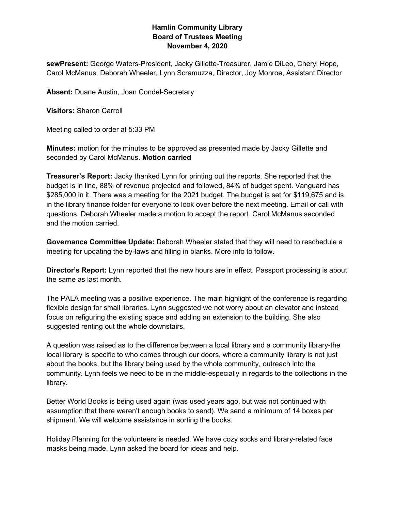## **Hamlin Community Library Board of Trustees Meeting November 4, 2020**

**sewPresent:** George Waters-President, Jacky Gillette-Treasurer, Jamie DiLeo, Cheryl Hope, Carol McManus, Deborah Wheeler, Lynn Scramuzza, Director, Joy Monroe, Assistant Director

**Absent:** Duane Austin, Joan Condel-Secretary

**Visitors:** Sharon Carroll

Meeting called to order at 5:33 PM

**Minutes:** motion for the minutes to be approved as presented made by Jacky Gillette and seconded by Carol McManus. **Motion carried**

**Treasurer's Report:** Jacky thanked Lynn for printing out the reports. She reported that the budget is in line, 88% of revenue projected and followed, 84% of budget spent. Vanguard has \$285,000 in it. There was a meeting for the 2021 budget. The budget is set for \$119,675 and is in the library finance folder for everyone to look over before the next meeting. Email or call with questions. Deborah Wheeler made a motion to accept the report. Carol McManus seconded and the motion carried.

**Governance Committee Update:** Deborah Wheeler stated that they will need to reschedule a meeting for updating the by-laws and filling in blanks. More info to follow.

**Director's Report:** Lynn reported that the new hours are in effect. Passport processing is about the same as last month.

The PALA meeting was a positive experience. The main highlight of the conference is regarding flexible design for small libraries. Lynn suggested we not worry about an elevator and instead focus on refiguring the existing space and adding an extension to the building. She also suggested renting out the whole downstairs.

A question was raised as to the difference between a local library and a community library-the local library is specific to who comes through our doors, where a community library is not just about the books, but the library being used by the whole community, outreach into the community. Lynn feels we need to be in the middle-especially in regards to the collections in the library.

Better World Books is being used again (was used years ago, but was not continued with assumption that there weren't enough books to send). We send a minimum of 14 boxes per shipment. We will welcome assistance in sorting the books.

Holiday Planning for the volunteers is needed. We have cozy socks and library-related face masks being made. Lynn asked the board for ideas and help.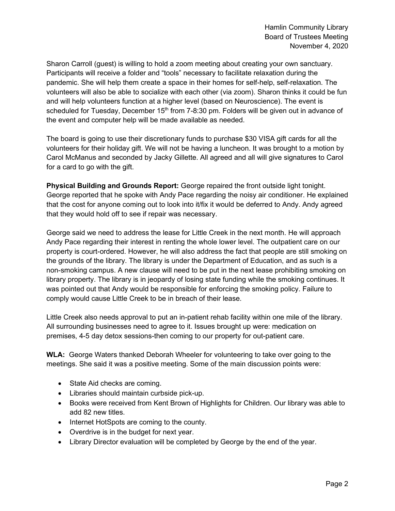Sharon Carroll (guest) is willing to hold a zoom meeting about creating your own sanctuary. Participants will receive a folder and "tools" necessary to facilitate relaxation during the pandemic. She will help them create a space in their homes for self-help, self-relaxation. The volunteers will also be able to socialize with each other (via zoom). Sharon thinks it could be fun and will help volunteers function at a higher level (based on Neuroscience). The event is scheduled for Tuesday, December 15<sup>th</sup> from 7-8:30 pm. Folders will be given out in advance of the event and computer help will be made available as needed.

The board is going to use their discretionary funds to purchase \$30 VISA gift cards for all the volunteers for their holiday gift. We will not be having a luncheon. It was brought to a motion by Carol McManus and seconded by Jacky Gillette. All agreed and all will give signatures to Carol for a card to go with the gift.

**Physical Building and Grounds Report:** George repaired the front outside light tonight. George reported that he spoke with Andy Pace regarding the noisy air conditioner. He explained that the cost for anyone coming out to look into it/fix it would be deferred to Andy. Andy agreed that they would hold off to see if repair was necessary.

George said we need to address the lease for Little Creek in the next month. He will approach Andy Pace regarding their interest in renting the whole lower level. The outpatient care on our property is court-ordered. However, he will also address the fact that people are still smoking on the grounds of the library. The library is under the Department of Education, and as such is a non-smoking campus. A new clause will need to be put in the next lease prohibiting smoking on library property. The library is in jeopardy of losing state funding while the smoking continues. It was pointed out that Andy would be responsible for enforcing the smoking policy. Failure to comply would cause Little Creek to be in breach of their lease.

Little Creek also needs approval to put an in-patient rehab facility within one mile of the library. All surrounding businesses need to agree to it. Issues brought up were: medication on premises, 4-5 day detox sessions-then coming to our property for out-patient care.

**WLA:** George Waters thanked Deborah Wheeler for volunteering to take over going to the meetings. She said it was a positive meeting. Some of the main discussion points were:

- State Aid checks are coming.
- Libraries should maintain curbside pick-up.
- Books were received from Kent Brown of Highlights for Children. Our library was able to add 82 new titles.
- Internet HotSpots are coming to the county.
- Overdrive is in the budget for next year.
- Library Director evaluation will be completed by George by the end of the year.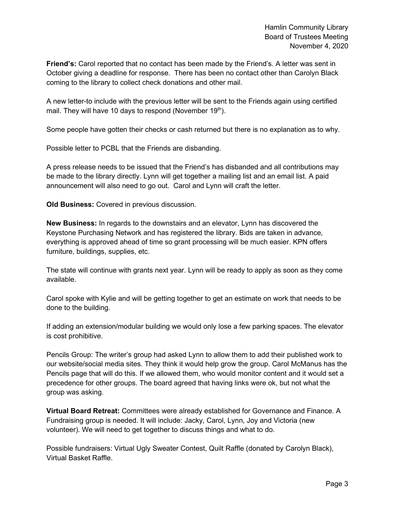**Friend's:** Carol reported that no contact has been made by the Friend's. A letter was sent in October giving a deadline for response. There has been no contact other than Carolyn Black coming to the library to collect check donations and other mail.

A new letter-to include with the previous letter will be sent to the Friends again using certified mail. They will have 10 days to respond (November  $19<sup>th</sup>$ ).

Some people have gotten their checks or cash returned but there is no explanation as to why.

Possible letter to PCBL that the Friends are disbanding.

A press release needs to be issued that the Friend's has disbanded and all contributions may be made to the library directly. Lynn will get together a mailing list and an email list. A paid announcement will also need to go out. Carol and Lynn will craft the letter.

**Old Business:** Covered in previous discussion.

**New Business:** In regards to the downstairs and an elevator, Lynn has discovered the Keystone Purchasing Network and has registered the library. Bids are taken in advance, everything is approved ahead of time so grant processing will be much easier. KPN offers furniture, buildings, supplies, etc.

The state will continue with grants next year. Lynn will be ready to apply as soon as they come available.

Carol spoke with Kylie and will be getting together to get an estimate on work that needs to be done to the building.

If adding an extension/modular building we would only lose a few parking spaces. The elevator is cost prohibitive.

Pencils Group: The writer's group had asked Lynn to allow them to add their published work to our website/social media sites. They think it would help grow the group. Carol McManus has the Pencils page that will do this. If we allowed them, who would monitor content and it would set a precedence for other groups. The board agreed that having links were ok, but not what the group was asking.

**Virtual Board Retreat:** Committees were already established for Governance and Finance. A Fundraising group is needed. It will include: Jacky, Carol, Lynn, Joy and Victoria (new volunteer). We will need to get together to discuss things and what to do.

Possible fundraisers: Virtual Ugly Sweater Contest, Quilt Raffle (donated by Carolyn Black), Virtual Basket Raffle.